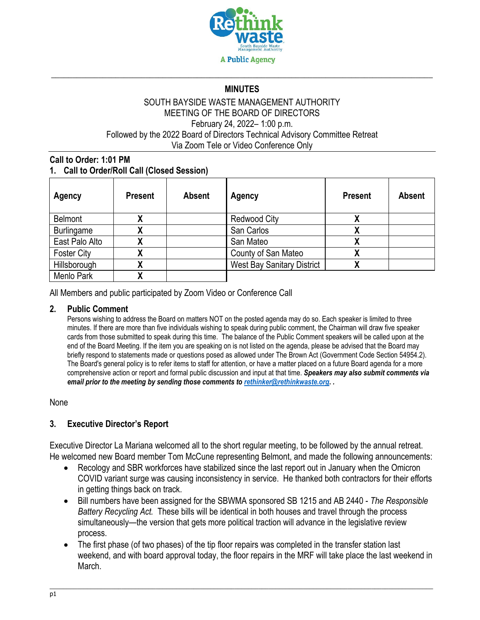

# \_\_\_\_\_\_\_\_\_\_\_\_\_\_\_\_\_\_\_\_\_\_\_\_\_\_\_\_\_\_\_\_\_\_\_\_\_\_\_\_\_\_\_\_\_\_\_\_\_\_\_\_\_\_\_\_\_\_\_\_\_\_\_\_\_\_\_\_\_\_\_\_\_\_\_\_\_\_\_\_\_\_\_\_\_\_\_\_\_ **MINUTES**

#### SOUTH BAYSIDE WASTE MANAGEMENT AUTHORITY MEETING OF THE BOARD OF DIRECTORS February 24, 2022– 1:00 p.m. Followed by the 2022 Board of Directors Technical Advisory Committee Retreat Via Zoom Tele or Video Conference Only

### **Call to Order: 1:01 PM 1. Call to Order/Roll Call (Closed Session)**

| Agency             | <b>Present</b> | <b>Absent</b> | Agency                            | <b>Present</b> | <b>Absent</b> |
|--------------------|----------------|---------------|-----------------------------------|----------------|---------------|
| <b>Belmont</b>     |                |               | <b>Redwood City</b>               |                |               |
| <b>Burlingame</b>  |                |               | San Carlos                        |                |               |
| East Palo Alto     |                |               | San Mateo                         |                |               |
| <b>Foster City</b> |                |               | County of San Mateo               |                |               |
| Hillsborough       |                |               | <b>West Bay Sanitary District</b> |                |               |
| Menlo Park         |                |               |                                   |                |               |

All Members and public participated by Zoom Video or Conference Call

#### **2. Public Comment**

Persons wishing to address the Board on matters NOT on the posted agenda may do so. Each speaker is limited to three minutes. If there are more than five individuals wishing to speak during public comment, the Chairman will draw five speaker cards from those submitted to speak during this time. The balance of the Public Comment speakers will be called upon at the end of the Board Meeting. If the item you are speaking on is not listed on the agenda, please be advised that the Board may briefly respond to statements made or questions posed as allowed under The Brown Act (Government Code Section 54954.2). The Board's general policy is to refer items to staff for attention, or have a matter placed on a future Board agenda for a more comprehensive action or report and formal public discussion and input at that time. *Speakers may also submit comments via email prior to the meeting by sending those comments t[o rethinker@rethinkwaste.org.](mailto:rethinker@rethinkwaste.org) .*

#### None

### **3. Executive Director's Report**

Executive Director La Mariana welcomed all to the short regular meeting, to be followed by the annual retreat. He welcomed new Board member Tom McCune representing Belmont, and made the following announcements:

- Recology and SBR workforces have stabilized since the last report out in January when the Omicron COVID variant surge was causing inconsistency in service. He thanked both contractors for their efforts in getting things back on track.
- Bill numbers have been assigned for the SBWMA sponsored SB 1215 and AB 2440 *The Responsible Battery Recycling Act.* These bills will be identical in both houses and travel through the process simultaneously—the version that gets more political traction will advance in the legislative review process.
- The first phase (of two phases) of the tip floor repairs was completed in the transfer station last weekend, and with board approval today, the floor repairs in the MRF will take place the last weekend in March.

\_\_\_\_\_\_\_\_\_\_\_\_\_\_\_\_\_\_\_\_\_\_\_\_\_\_\_\_\_\_\_\_\_\_\_\_\_\_\_\_\_\_\_\_\_\_\_\_\_\_\_\_\_\_\_\_\_\_\_\_\_\_\_\_\_\_\_\_\_\_\_\_\_\_\_\_\_\_\_\_\_\_\_\_\_\_\_\_\_\_\_\_\_\_\_\_\_\_\_\_\_\_\_\_\_\_\_\_\_\_\_\_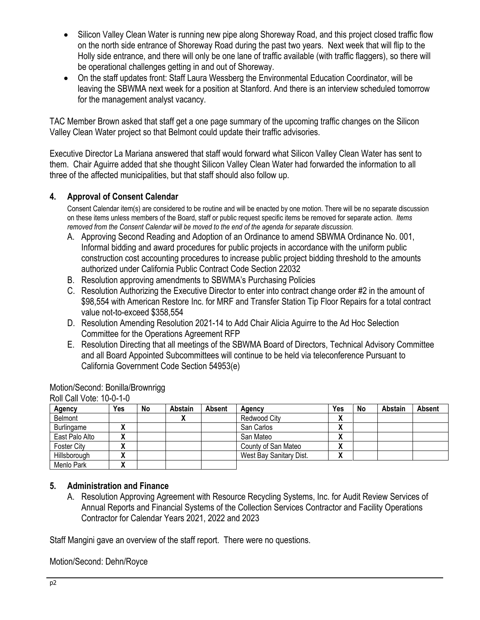- Silicon Valley Clean Water is running new pipe along Shoreway Road, and this project closed traffic flow on the north side entrance of Shoreway Road during the past two years. Next week that will flip to the Holly side entrance, and there will only be one lane of traffic available (with traffic flaggers), so there will be operational challenges getting in and out of Shoreway.
- On the staff updates front: Staff Laura Wessberg the Environmental Education Coordinator, will be leaving the SBWMA next week for a position at Stanford. And there is an interview scheduled tomorrow for the management analyst vacancy.

TAC Member Brown asked that staff get a one page summary of the upcoming traffic changes on the Silicon Valley Clean Water project so that Belmont could update their traffic advisories.

Executive Director La Mariana answered that staff would forward what Silicon Valley Clean Water has sent to them. Chair Aguirre added that she thought Silicon Valley Clean Water had forwarded the information to all three of the affected municipalities, but that staff should also follow up.

### **4. Approval of Consent Calendar**

Consent Calendar item(s) are considered to be routine and will be enacted by one motion. There will be no separate discussion on these items unless members of the Board, staff or public request specific items be removed for separate action. *Items removed from the Consent Calendar will be moved to the end of the agenda for separate discussion*.

- A. Approving Second Reading and Adoption of an Ordinance to amend SBWMA Ordinance No. 001, Informal bidding and award procedures for public projects in accordance with the uniform public construction cost accounting procedures to increase public project bidding threshold to the amounts authorized under California Public Contract Code Section 22032
- B. Resolution approving amendments to SBWMA's Purchasing Policies
- C. Resolution Authorizing the Executive Director to enter into contract change order #2 in the amount of \$98,554 with American Restore Inc. for MRF and Transfer Station Tip Floor Repairs for a total contract value not-to-exceed \$358,554
- D. Resolution Amending Resolution 2021-14 to Add Chair Alicia Aguirre to the Ad Hoc Selection Committee for the Operations Agreement RFP
- E. Resolution Directing that all meetings of the SBWMA Board of Directors, Technical Advisory Committee and all Board Appointed Subcommittees will continue to be held via teleconference Pursuant to California Government Code Section 54953(e)

| $IVIII$ vall vult. $IVU$ - $V$ -TV |     |    |         |               |                         |     |    |         |        |
|------------------------------------|-----|----|---------|---------------|-------------------------|-----|----|---------|--------|
| Agency                             | Yes | No | Abstain | <b>Absent</b> | Agency                  | Yes | No | Abstain | Absent |
| Belmont                            |     |    | "       |               | Redwood City            | Λ   |    |         |        |
| Burlingame                         |     |    |         |               | San Carlos              | Δ   |    |         |        |
| East Palo Alto                     |     |    |         |               | San Mateo               | A   |    |         |        |
| <b>Foster City</b>                 |     |    |         |               | County of San Mateo     | Δ   |    |         |        |
| Hillsborough                       |     |    |         |               | West Bay Sanitary Dist. | Λ   |    |         |        |
| Menlo Park                         |     |    |         |               |                         |     |    |         |        |

Motion/Second: Bonilla/Brownrigg Roll Call Vote: 10-0-1-0

### **5. Administration and Finance**

A. Resolution Approving Agreement with Resource Recycling Systems, Inc. for Audit Review Services of Annual Reports and Financial Systems of the Collection Services Contractor and Facility Operations Contractor for Calendar Years 2021, 2022 and 2023

Staff Mangini gave an overview of the staff report. There were no questions.

Motion/Second: Dehn/Royce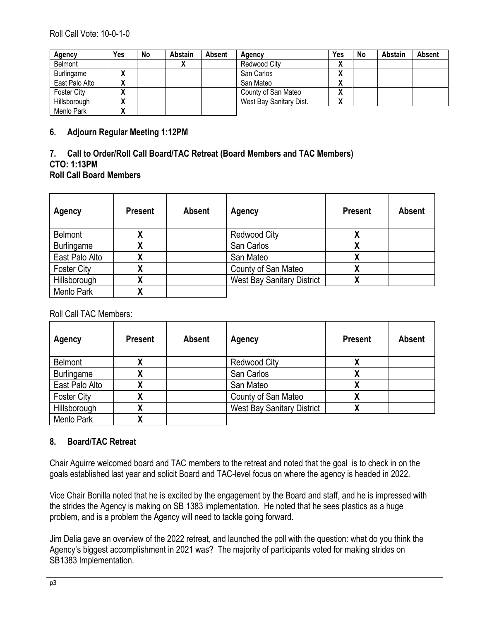| Agency             | Yes          | No | Abstain | <b>Absent</b> | Agency                  | Yes                          | No | <b>Abstain</b> | Absent |
|--------------------|--------------|----|---------|---------------|-------------------------|------------------------------|----|----------------|--------|
| Belmont            |              |    |         |               | Redwood City            | $\mathbf{v}$<br>Λ            |    |                |        |
| Burlingame         |              |    |         |               | San Carlos              | $\mathbf{v}$<br>$\mathbf{v}$ |    |                |        |
| East Palo Alto     |              |    |         |               | San Mateo               | ٠.<br>Λ                      |    |                |        |
| <b>Foster City</b> | $\mathbf{v}$ |    |         |               | County of San Mateo     | $\mathbf{v}$<br>Λ            |    |                |        |
| Hillsborough       |              |    |         |               | West Bay Sanitary Dist. | "                            |    |                |        |
| Menlo Park         | "            |    |         |               |                         |                              |    |                |        |

#### **6. Adjourn Regular Meeting 1:12PM**

### **7. Call to Order/Roll Call Board/TAC Retreat (Board Members and TAC Members) CTO: 1:13PM Roll Call Board Members**

| Agency             | <b>Present</b> | <b>Absent</b> | Agency                            | <b>Present</b>            | <b>Absent</b> |
|--------------------|----------------|---------------|-----------------------------------|---------------------------|---------------|
| <b>Belmont</b>     |                |               | <b>Redwood City</b>               |                           |               |
| <b>Burlingame</b>  |                |               | San Carlos                        |                           |               |
| East Palo Alto     | Λ              |               | San Mateo                         | $\boldsymbol{\mathsf{A}}$ |               |
| <b>Foster City</b> |                |               | County of San Mateo               | $\overline{\phantom{a}}$  |               |
| Hillsborough       |                |               | <b>West Bay Sanitary District</b> | v                         |               |
| Menlo Park         |                |               |                                   |                           |               |

Roll Call TAC Members:

| Agency             | <b>Present</b> | <b>Absent</b> | Agency                            | <b>Present</b>            | <b>Absent</b> |
|--------------------|----------------|---------------|-----------------------------------|---------------------------|---------------|
| Belmont            |                |               | <b>Redwood City</b>               |                           |               |
| <b>Burlingame</b>  |                |               | San Carlos                        |                           |               |
| East Palo Alto     |                |               | San Mateo                         |                           |               |
| <b>Foster City</b> | Λ              |               | County of San Mateo               | $\boldsymbol{\mathsf{A}}$ |               |
| Hillsborough       |                |               | <b>West Bay Sanitary District</b> | Λ                         |               |
| Menlo Park         |                |               |                                   |                           |               |

### **8. Board/TAC Retreat**

Chair Aguirre welcomed board and TAC members to the retreat and noted that the goal is to check in on the goals established last year and solicit Board and TAC-level focus on where the agency is headed in 2022.

Vice Chair Bonilla noted that he is excited by the engagement by the Board and staff, and he is impressed with the strides the Agency is making on SB 1383 implementation. He noted that he sees plastics as a huge problem, and is a problem the Agency will need to tackle going forward.

Jim Delia gave an overview of the 2022 retreat, and launched the poll with the question: what do you think the Agency's biggest accomplishment in 2021 was? The majority of participants voted for making strides on SB1383 Implementation.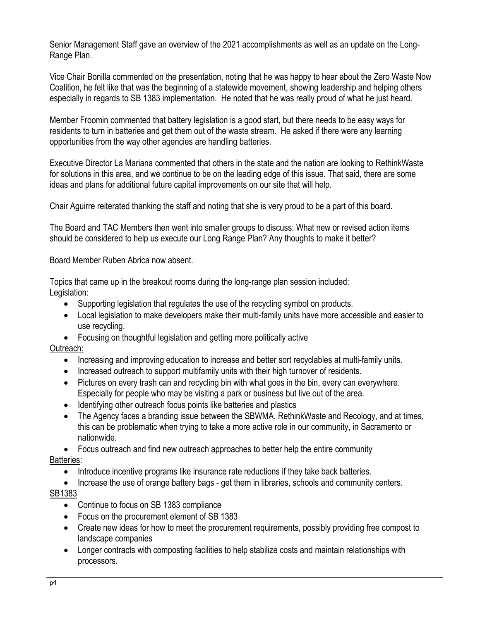Senior Management Staff gave an overview of the 2021 accomplishments as well as an update on the Long-Range Plan.

Vice Chair Bonilla commented on the presentation, noting that he was happy to hear about the Zero Waste Now Coalition, he felt like that was the beginning of a statewide movement, showing leadership and helping others especially in regards to SB 1383 implementation. He noted that he was really proud of what he just heard.

Member Froomin commented that battery legislation is a good start, but there needs to be easy ways for residents to turn in batteries and get them out of the waste stream. He asked if there were any learning opportunities from the way other agencies are handling batteries.

Executive Director La Mariana commented that others in the state and the nation are looking to RethinkWaste for solutions in this area, and we continue to be on the leading edge of this issue. That said, there are some ideas and plans for additional future capital improvements on our site that will help.

Chair Aguirre reiterated thanking the staff and noting that she is very proud to be a part of this board.

The Board and TAC Members then went into smaller groups to discuss: What new or revised action items should be considered to help us execute our Long Range Plan? Any thoughts to make it better?

Board Member Ruben Abrica now absent.

Topics that came up in the breakout rooms during the long-range plan session included: Legislation:

- Supporting legislation that regulates the use of the recycling symbol on products.
- Local legislation to make developers make their multi-family units have more accessible and easier to use recycling.
- Focusing on thoughtful legislation and getting more politically active

### Outreach:

- Increasing and improving education to increase and better sort recyclables at multi-family units.
- Increased outreach to support multifamily units with their high turnover of residents.
- Pictures on every trash can and recycling bin with what goes in the bin, every can everywhere. Especially for people who may be visiting a park or business but live out of the area.
- Identifying other outreach focus points like batteries and plastics
- The Agency faces a branding issue between the SBWMA, RethinkWaste and Recology, and at times, this can be problematic when trying to take a more active role in our community, in Sacramento or nationwide.

• Focus outreach and find new outreach approaches to better help the entire community Batteries:

- Introduce incentive programs like insurance rate reductions if they take back batteries.
- Increase the use of orange battery bags get them in libraries, schools and community centers.

## SB1383

- Continue to focus on SB 1383 compliance
- Focus on the procurement element of SB 1383
- Create new ideas for how to meet the procurement requirements, possibly providing free compost to landscape companies
- Longer contracts with composting facilities to help stabilize costs and maintain relationships with processors.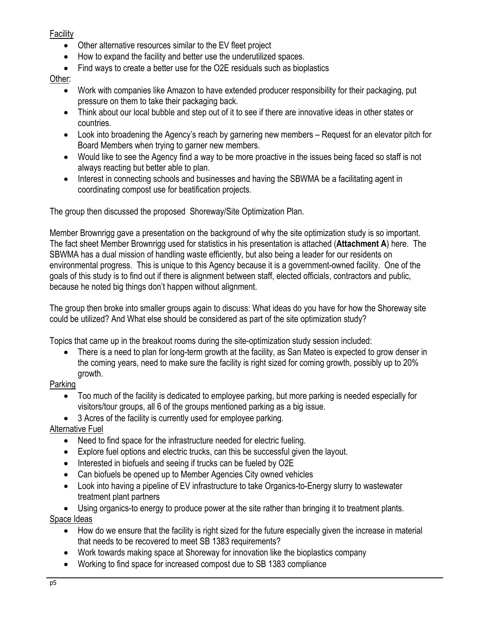**Facility** 

- Other alternative resources similar to the EV fleet project
- How to expand the facility and better use the underutilized spaces.
- Find ways to create a better use for the O2E residuals such as bioplastics

Other:

- Work with companies like Amazon to have extended producer responsibility for their packaging, put pressure on them to take their packaging back.
- Think about our local bubble and step out of it to see if there are innovative ideas in other states or countries.
- Look into broadening the Agency's reach by garnering new members Request for an elevator pitch for Board Members when trying to garner new members.
- Would like to see the Agency find a way to be more proactive in the issues being faced so staff is not always reacting but better able to plan.
- Interest in connecting schools and businesses and having the SBWMA be a facilitating agent in coordinating compost use for beatification projects.

The group then discussed the proposed Shoreway/Site Optimization Plan.

Member Brownrigg gave a presentation on the background of why the site optimization study is so important. The fact sheet Member Brownrigg used for statistics in his presentation is attached (**Attachment A**) here. The SBWMA has a dual mission of handling waste efficiently, but also being a leader for our residents on environmental progress. This is unique to this Agency because it is a government-owned facility. One of the goals of this study is to find out if there is alignment between staff, elected officials, contractors and public, because he noted big things don't happen without alignment.

The group then broke into smaller groups again to discuss: What ideas do you have for how the Shoreway site could be utilized? And What else should be considered as part of the site optimization study?

Topics that came up in the breakout rooms during the site-optimization study session included:

• There is a need to plan for long-term growth at the facility, as San Mateo is expected to grow denser in the coming years, need to make sure the facility is right sized for coming growth, possibly up to 20% growth.

# Parking

- Too much of the facility is dedicated to employee parking, but more parking is needed especially for visitors/tour groups, all 6 of the groups mentioned parking as a big issue.
- 3 Acres of the facility is currently used for employee parking.

# Alternative Fuel

- Need to find space for the infrastructure needed for electric fueling.
- Explore fuel options and electric trucks, can this be successful given the layout.
- Interested in biofuels and seeing if trucks can be fueled by O2E
- Can biofuels be opened up to Member Agencies City owned vehicles
- Look into having a pipeline of EV infrastructure to take Organics-to-Energy slurry to wastewater treatment plant partners

• Using organics-to energy to produce power at the site rather than bringing it to treatment plants. Space Ideas

- How do we ensure that the facility is right sized for the future especially given the increase in material that needs to be recovered to meet SB 1383 requirements?
- Work towards making space at Shoreway for innovation like the bioplastics company
- Working to find space for increased compost due to SB 1383 compliance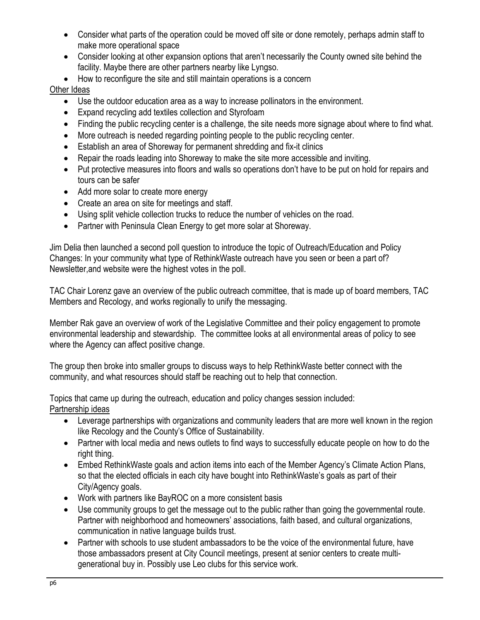- Consider what parts of the operation could be moved off site or done remotely, perhaps admin staff to make more operational space
- Consider looking at other expansion options that aren't necessarily the County owned site behind the facility. Maybe there are other partners nearby like Lyngso.
- How to reconfigure the site and still maintain operations is a concern

## Other Ideas

- Use the outdoor education area as a way to increase pollinators in the environment.
- Expand recycling add textiles collection and Styrofoam
- Finding the public recycling center is a challenge, the site needs more signage about where to find what.
- More outreach is needed regarding pointing people to the public recycling center.
- Establish an area of Shoreway for permanent shredding and fix-it clinics
- Repair the roads leading into Shoreway to make the site more accessible and inviting.
- Put protective measures into floors and walls so operations don't have to be put on hold for repairs and tours can be safer
- Add more solar to create more energy
- Create an area on site for meetings and staff.
- Using split vehicle collection trucks to reduce the number of vehicles on the road.
- Partner with Peninsula Clean Energy to get more solar at Shoreway.

Jim Delia then launched a second poll question to introduce the topic of Outreach/Education and Policy Changes: In your community what type of RethinkWaste outreach have you seen or been a part of? Newsletter,and website were the highest votes in the poll.

TAC Chair Lorenz gave an overview of the public outreach committee, that is made up of board members, TAC Members and Recology, and works regionally to unify the messaging.

Member Rak gave an overview of work of the Legislative Committee and their policy engagement to promote environmental leadership and stewardship. The committee looks at all environmental areas of policy to see where the Agency can affect positive change.

The group then broke into smaller groups to discuss ways to help RethinkWaste better connect with the community, and what resources should staff be reaching out to help that connection.

Topics that came up during the outreach, education and policy changes session included: Partnership ideas

- Leverage partnerships with organizations and community leaders that are more well known in the region like Recology and the County's Office of Sustainability.
- Partner with local media and news outlets to find ways to successfully educate people on how to do the right thing.
- Embed RethinkWaste goals and action items into each of the Member Agency's Climate Action Plans, so that the elected officials in each city have bought into RethinkWaste's goals as part of their City/Agency goals.
- Work with partners like BayROC on a more consistent basis
- Use community groups to get the message out to the public rather than going the governmental route. Partner with neighborhood and homeowners' associations, faith based, and cultural organizations, communication in native language builds trust.
- Partner with schools to use student ambassadors to be the voice of the environmental future, have those ambassadors present at City Council meetings, present at senior centers to create multigenerational buy in. Possibly use Leo clubs for this service work.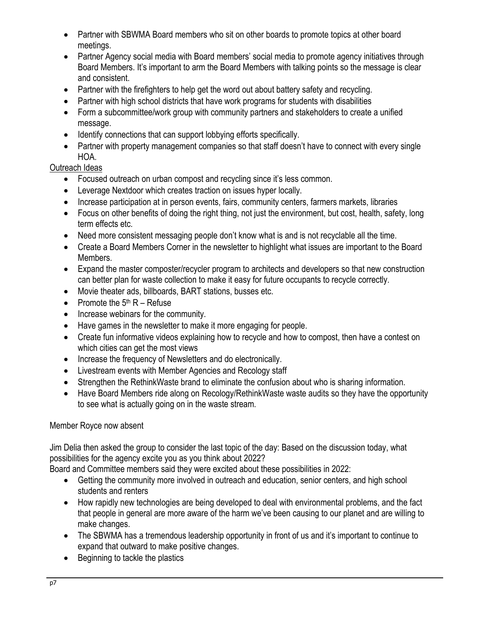- Partner with SBWMA Board members who sit on other boards to promote topics at other board meetings.
- Partner Agency social media with Board members' social media to promote agency initiatives through Board Members. It's important to arm the Board Members with talking points so the message is clear and consistent.
- Partner with the firefighters to help get the word out about battery safety and recycling.
- Partner with high school districts that have work programs for students with disabilities
- Form a subcommittee/work group with community partners and stakeholders to create a unified message.
- Identify connections that can support lobbying efforts specifically.
- Partner with property management companies so that staff doesn't have to connect with every single HOA.

## Outreach Ideas

- Focused outreach on urban compost and recycling since it's less common.
- Leverage Nextdoor which creates traction on issues hyper locally.
- Increase participation at in person events, fairs, community centers, farmers markets, libraries
- Focus on other benefits of doing the right thing, not just the environment, but cost, health, safety, long term effects etc.
- Need more consistent messaging people don't know what is and is not recyclable all the time.
- Create a Board Members Corner in the newsletter to highlight what issues are important to the Board Members.
- Expand the master composter/recycler program to architects and developers so that new construction can better plan for waste collection to make it easy for future occupants to recycle correctly.
- Movie theater ads, billboards, BART stations, busses etc.
- Promote the  $5<sup>th</sup> R Refuse$
- Increase webinars for the community.
- Have games in the newsletter to make it more engaging for people.
- Create fun informative videos explaining how to recycle and how to compost, then have a contest on which cities can get the most views
- Increase the frequency of Newsletters and do electronically.
- Livestream events with Member Agencies and Recology staff
- Strengthen the RethinkWaste brand to eliminate the confusion about who is sharing information.
- Have Board Members ride along on Recology/RethinkWaste waste audits so they have the opportunity to see what is actually going on in the waste stream.

## Member Royce now absent

Jim Delia then asked the group to consider the last topic of the day: Based on the discussion today, what possibilities for the agency excite you as you think about 2022?

Board and Committee members said they were excited about these possibilities in 2022:

- Getting the community more involved in outreach and education, senior centers, and high school students and renters
- How rapidly new technologies are being developed to deal with environmental problems, and the fact that people in general are more aware of the harm we've been causing to our planet and are willing to make changes.
- The SBWMA has a tremendous leadership opportunity in front of us and it's important to continue to expand that outward to make positive changes.
- Beginning to tackle the plastics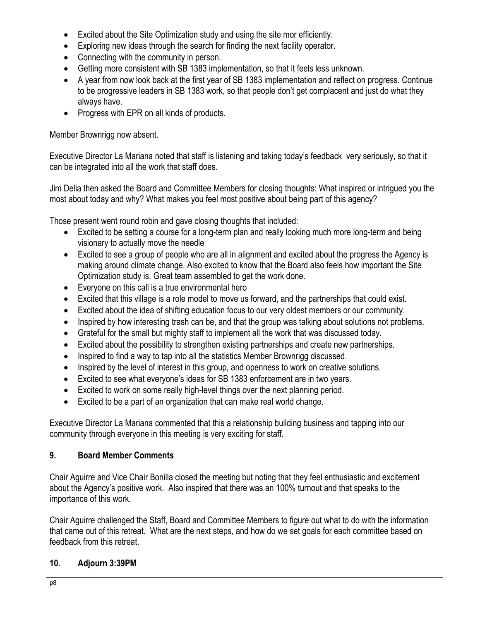- Excited about the Site Optimization study and using the site mor efficiently.
- Exploring new ideas through the search for finding the next facility operator.
- Connecting with the community in person.
- Getting more consistent with SB 1383 implementation, so that it feels less unknown.
- A year from now look back at the first year of SB 1383 implementation and reflect on progress. Continue to be progressive leaders in SB 1383 work, so that people don't get complacent and just do what they always have.
- Progress with EPR on all kinds of products.

## Member Brownrigg now absent.

Executive Director La Mariana noted that staff is listening and taking today's feedback very seriously, so that it can be integrated into all the work that staff does.

Jim Delia then asked the Board and Committee Members for closing thoughts: What inspired or intrigued you the most about today and why? What makes you feel most positive about being part of this agency?

Those present went round robin and gave closing thoughts that included:

- Excited to be setting a course for a long-term plan and really looking much more long-term and being visionary to actually move the needle
- Excited to see a group of people who are all in alignment and excited about the progress the Agency is making around climate change. Also excited to know that the Board also feels how important the Site Optimization study is. Great team assembled to get the work done.
- Everyone on this call is a true environmental hero
- Excited that this village is a role model to move us forward, and the partnerships that could exist.
- Excited about the idea of shifting education focus to our very oldest members or our community.
- Inspired by how interesting trash can be, and that the group was talking about solutions not problems.
- Grateful for the small but mighty staff to implement all the work that was discussed today.
- Excited about the possibility to strengthen existing partnerships and create new partnerships.
- Inspired to find a way to tap into all the statistics Member Brownrigg discussed.
- Inspired by the level of interest in this group, and openness to work on creative solutions.
- Excited to see what everyone's ideas for SB 1383 enforcement are in two years.
- Excited to work on some really high-level things over the next planning period.
- Excited to be a part of an organization that can make real world change.

Executive Director La Mariana commented that this a relationship building business and tapping into our community through everyone in this meeting is very exciting for staff.

# **9. Board Member Comments**

Chair Aguirre and Vice Chair Bonilla closed the meeting but noting that they feel enthusiastic and excitement about the Agency's positive work. Also inspired that there was an 100% turnout and that speaks to the importance of this work.

Chair Aguirre challenged the Staff, Board and Committee Members to figure out what to do with the information that came out of this retreat. What are the next steps, and how do we set goals for each committee based on feedback from this retreat.

# **10. Adjourn 3:39PM**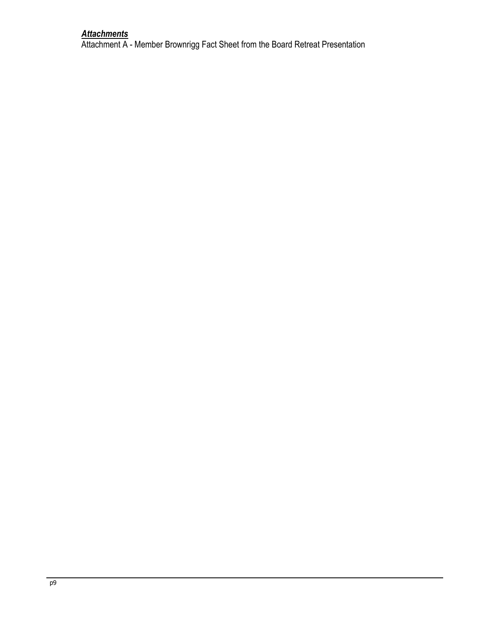## *Attachments*

Attachment A - Member Brownrigg Fact Sheet from the Board Retreat Presentation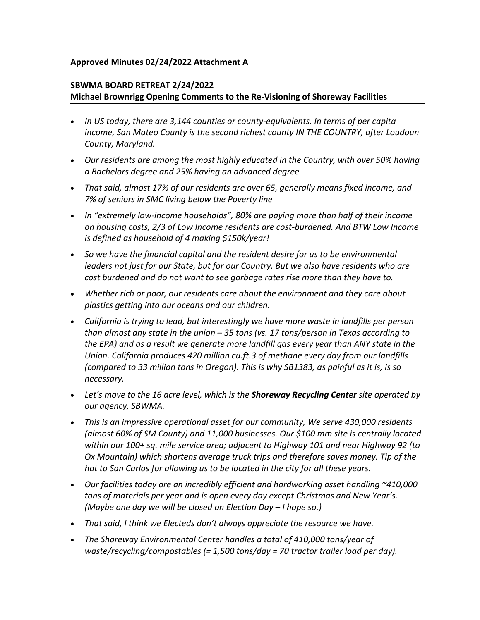### **Approved Minutes 02/24/2022 Attachment A**

### **SBWMA BOARD RETREAT 2/24/2022 Michael Brownrigg Opening Comments to the Re-Visioning of Shoreway Facilities**

- *In US today, there are 3,144 counties or county-equivalents. In terms of per capita income, San Mateo County is the second richest county IN THE COUNTRY, after Loudoun County, Maryland.*
- *Our residents are among the most highly educated in the Country, with over 50% having a Bachelors degree and 25% having an advanced degree.*
- *That said, almost 17% of our residents are over 65, generally means fixed income, and 7% of seniors in SMC living below the Poverty line*
- *In "extremely low-income households", 80% are paying more than half of their income on housing costs, 2/3 of Low Income residents are cost-burdened. And BTW Low Income is defined as household of 4 making \$150k/year!*
- *So we have the financial capital and the resident desire for us to be environmental leaders not just for our State, but for our Country. But we also have residents who are cost burdened and do not want to see garbage rates rise more than they have to.*
- *Whether rich or poor, our residents care about the environment and they care about plastics getting into our oceans and our children.*
- *California is trying to lead, but interestingly we have more waste in landfills per person than almost any state in the union – 35 tons (vs. 17 tons/person in Texas according to the EPA) and as a result we generate more landfill gas every year than ANY state in the Union. California produces 420 million cu.ft.3 of methane every day from our landfills (compared to 33 million tons in Oregon). This is why SB1383, as painful as it is, is so necessary.*
- *Let's move to the 16 acre level, which is the Shoreway Recycling Center site operated by our agency, SBWMA.*
- *This is an impressive operational asset for our community, We serve 430,000 residents (almost 60% of SM County) and 11,000 businesses. Our \$100 mm site is centrally located within our 100+ sq. mile service area; adjacent to Highway 101 and near Highway 92 (to Ox Mountain) which shortens average truck trips and therefore saves money. Tip of the hat to San Carlos for allowing us to be located in the city for all these years.*
- *Our facilities today are an incredibly efficient and hardworking asset handling ~410,000 tons of materials per year and is open every day except Christmas and New Year's. (Maybe one day we will be closed on Election Day – I hope so.)*
- *That said, I think we Electeds don't always appreciate the resource we have.*
- *The Shoreway Environmental Center handles a total of 410,000 tons/year of waste/recycling/compostables (= 1,500 tons/day = 70 tractor trailer load per day).*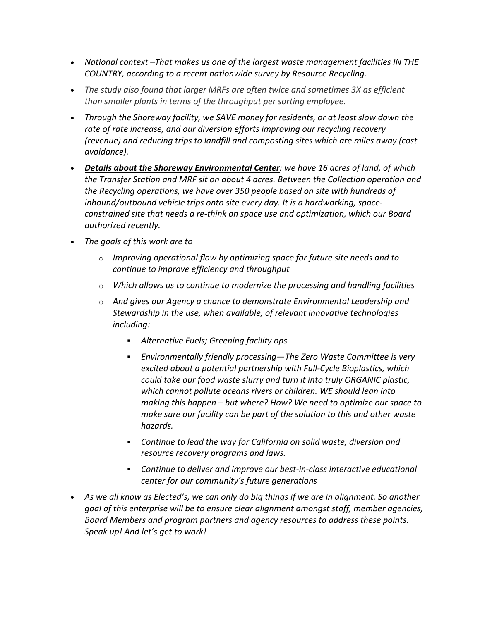- *National context –That makes us one of the largest waste management facilities IN THE COUNTRY, according to a recent nationwide survey by Resource Recycling.*
- *The study also found that larger MRFs are often twice and sometimes 3X as efficient than smaller plants in terms of the throughput per sorting employee.*
- *Through the Shoreway facility, we SAVE money for residents, or at least slow down the rate of rate increase, and our diversion efforts improving our recycling recovery (revenue) and reducing trips to landfill and composting sites which are miles away (cost avoidance).*
- *Details about the Shoreway Environmental Center: we have 16 acres of land, of which the Transfer Station and MRF sit on about 4 acres. Between the Collection operation and the Recycling operations, we have over 350 people based on site with hundreds of inbound/outbound vehicle trips onto site every day. It is a hardworking, spaceconstrained site that needs a re-think on space use and optimization, which our Board authorized recently.*
- *The goals of this work are to* 
	- o *Improving operational flow by optimizing space for future site needs and to continue to improve efficiency and throughput*
	- o *Which allows us to continue to modernize the processing and handling facilities*
	- o *And gives our Agency a chance to demonstrate Environmental Leadership and Stewardship in the use, when available, of relevant innovative technologies including:*
		- *Alternative Fuels; Greening facility ops*
		- *Environmentally friendly processing—The Zero Waste Committee is very excited about a potential partnership with Full-Cycle Bioplastics, which could take our food waste slurry and turn it into truly ORGANIC plastic, which cannot pollute oceans rivers or children. WE should lean into making this happen – but where? How? We need to optimize our space to make sure our facility can be part of the solution to this and other waste hazards.*
		- *Continue to lead the way for California on solid waste, diversion and resource recovery programs and laws.*
		- *Continue to deliver and improve our best-in-class interactive educational center for our community's future generations*
- *As we all know as Elected's, we can only do big things if we are in alignment. So another goal of this enterprise will be to ensure clear alignment amongst staff, member agencies, Board Members and program partners and agency resources to address these points. Speak up! And let's get to work!*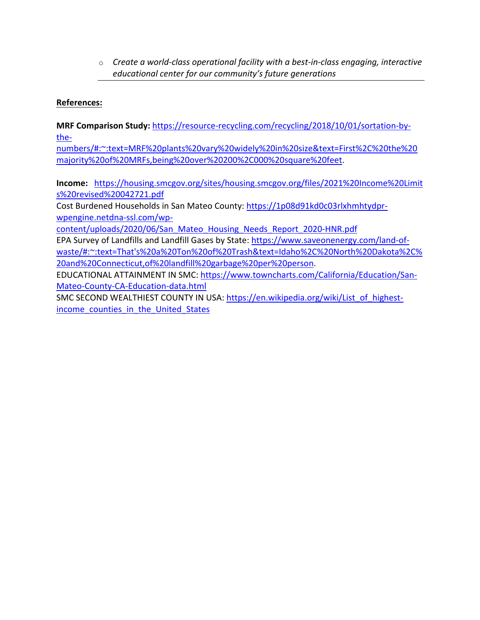o *Create a world-class operational facility with a best-in-class engaging, interactive educational center for our community's future generations*

## **References:**

**MRF Comparison Study:** [https://resource-recycling.com/recycling/2018/10/01/sortation-by](https://resource-recycling.com/recycling/2018/10/01/sortation-by-the-numbers/#:%7E:text=MRF%20plants%20vary%20widely%20in%20size&text=First%2C%20the%20majority%20of%20MRFs,being%20over%20200%2C000%20square%20feet)[the-](https://resource-recycling.com/recycling/2018/10/01/sortation-by-the-numbers/#:%7E:text=MRF%20plants%20vary%20widely%20in%20size&text=First%2C%20the%20majority%20of%20MRFs,being%20over%20200%2C000%20square%20feet)

[numbers/#:~:text=MRF%20plants%20vary%20widely%20in%20size&text=First%2C%20the%20](https://resource-recycling.com/recycling/2018/10/01/sortation-by-the-numbers/#:%7E:text=MRF%20plants%20vary%20widely%20in%20size&text=First%2C%20the%20majority%20of%20MRFs,being%20over%20200%2C000%20square%20feet) [majority%20of%20MRFs,being%20over%20200%2C000%20square%20feet.](https://resource-recycling.com/recycling/2018/10/01/sortation-by-the-numbers/#:%7E:text=MRF%20plants%20vary%20widely%20in%20size&text=First%2C%20the%20majority%20of%20MRFs,being%20over%20200%2C000%20square%20feet)

**Income:** [https://housing.smcgov.org/sites/housing.smcgov.org/files/2021%20Income%20Limit](https://housing.smcgov.org/sites/housing.smcgov.org/files/2021%20Income%20Limits%20revised%20042721.pdf) [s%20revised%20042721.pdf](https://housing.smcgov.org/sites/housing.smcgov.org/files/2021%20Income%20Limits%20revised%20042721.pdf)

Cost Burdened Households in San Mateo County: [https://1p08d91kd0c03rlxhmhtydpr](https://1p08d91kd0c03rlxhmhtydpr-wpengine.netdna-ssl.com/wp-content/uploads/2020/06/San_Mateo_Housing_Needs_Report_2020-HNR.pdf)[wpengine.netdna-ssl.com/wp-](https://1p08d91kd0c03rlxhmhtydpr-wpengine.netdna-ssl.com/wp-content/uploads/2020/06/San_Mateo_Housing_Needs_Report_2020-HNR.pdf)

[content/uploads/2020/06/San\\_Mateo\\_Housing\\_Needs\\_Report\\_2020-HNR.pdf](https://1p08d91kd0c03rlxhmhtydpr-wpengine.netdna-ssl.com/wp-content/uploads/2020/06/San_Mateo_Housing_Needs_Report_2020-HNR.pdf) EPA Survey of Landfills and Landfill Gases by State: [https://www.saveonenergy.com/land-of](https://www.saveonenergy.com/land-of-waste/#:%7E:text=That)[waste/#:~:text=That's%20a%20Ton%20of%20Trash&text=Idaho%2C%20North%20Dakota%2C%](https://www.saveonenergy.com/land-of-waste/#:%7E:text=That) [20and%20Connecticut,of%20landfill%20garbage%20per%20person.](https://www.saveonenergy.com/land-of-waste/#:%7E:text=That)

EDUCATIONAL ATTAINMENT IN SMC: [https://www.towncharts.com/California/Education/San-](https://www.towncharts.com/California/Education/San-Mateo-County-CA-Education-data.html)[Mateo-County-CA-Education-data.html](https://www.towncharts.com/California/Education/San-Mateo-County-CA-Education-data.html)

SMC SECOND WEALTHIEST COUNTY IN USA: [https://en.wikipedia.org/wiki/List\\_of\\_highest](https://en.wikipedia.org/wiki/List_of_highest-income_counties_in_the_United_States)income counties in the United States